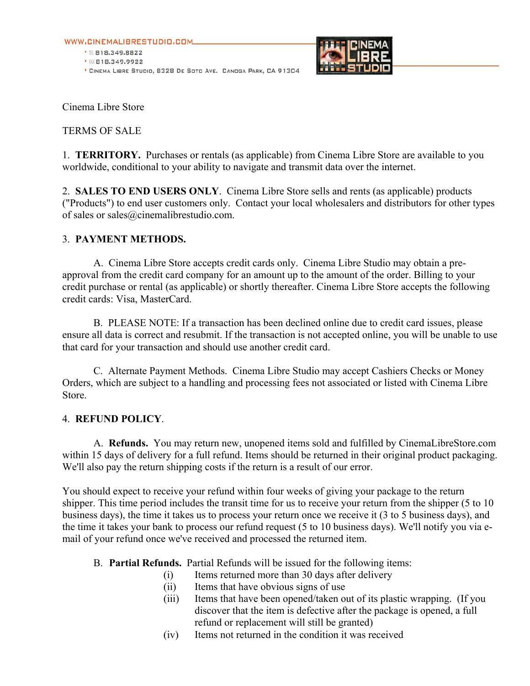WWW.CINEMALIBRESTUDIO.COM

● 图 818.349.8822 ● BX 818.349.9922 <sup>\*</sup> CINEMA LIBRE STUDIO, 8328 DE SOTO AVE. CANOGA PARK, CA 91304



Cinema Libre Store

### TERMS OF SALE

1. **TERRITORY.** Purchases or rentals (as applicable) from Cinema Libre Store are available to you worldwide, conditional to your ability to navigate and transmit data over the internet.

2. **SALES TO END USERS ONLY**. Cinema Libre Store sells and rents (as applicable) products ("Products") to end user customers only. Contact your local wholesalers and distributors for other types of sales or sales@cinemalibrestudio.com.

## 3. **PAYMENT METHODS.**

A.Cinema Libre Store accepts credit cards only. Cinema Libre Studio may obtain a preapproval from the credit card company for an amount up to the amount of the order. Billing to your credit purchase or rental (as applicable) or shortly thereafter. Cinema Libre Store accepts the following credit cards: Visa, MasterCard.

B. PLEASE NOTE: If a transaction has been declined online due to credit card issues, please ensure all data is correct and resubmit. If the transaction is not accepted online, you will be unable to use that card for your transaction and should use another credit card.

C. Alternate Payment Methods. Cinema Libre Studio may accept Cashiers Checks or Money Orders, which are subject to a handling and processing fees not associated or listed with Cinema Libre Store.

### 4. **REFUND POLICY**.

A. **Refunds.** You may return new, unopened items sold and fulfilled by CinemaLibreStore.com within 15 days of delivery for a full refund. Items should be returned in their original product packaging. We'll also pay the return shipping costs if the return is a result of our error.

You should expect to receive your refund within four weeks of giving your package to the return shipper. This time period includes the transit time for us to receive your return from the shipper (5 to 10 business days), the time it takes us to process your return once we receive it (3 to 5 business days), and the time it takes your bank to process our refund request (5 to 10 business days). We'll notify you via email of your refund once we've received and processed the returned item.

- B. **Partial Refunds.** Partial Refunds will be issued for the following items:
	- (i) Items returned more than 30 days after delivery
	- (ii) Items that have obvious signs of use
	- (iii) Items that have been opened/taken out of its plastic wrapping. (If you discover that the item is defective after the package is opened, a full refund or replacement will still be granted)
	- (iv) Items not returned in the condition it was received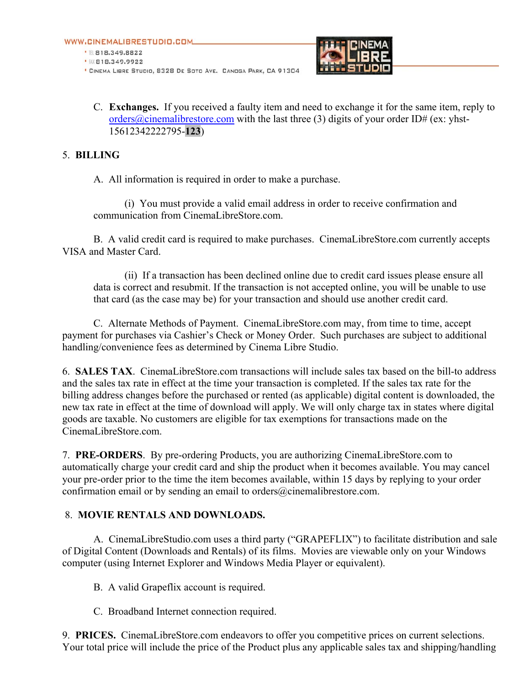

C. **Exchanges.** If you received a faulty item and need to exchange it for the same item, reply to orders@cinemalibrestore.com with the last three (3) digits of your order ID# (ex: yhst-15612342222795-**123**)

## 5. **BILLING**

A. All information is required in order to make a purchase.

(i) You must provide a valid email address in order to receive confirmation and communication from CinemaLibreStore.com.

B. A valid credit card is required to make purchases. CinemaLibreStore.com currently accepts VISA and Master Card.

(ii) If a transaction has been declined online due to credit card issues please ensure all data is correct and resubmit. If the transaction is not accepted online, you will be unable to use that card (as the case may be) for your transaction and should use another credit card.

C. Alternate Methods of Payment. CinemaLibreStore.com may, from time to time, accept payment for purchases via Cashier's Check or Money Order. Such purchases are subject to additional handling/convenience fees as determined by Cinema Libre Studio.

6. **SALES TAX**. CinemaLibreStore.com transactions will include sales tax based on the bill-to address and the sales tax rate in effect at the time your transaction is completed. If the sales tax rate for the billing address changes before the purchased or rented (as applicable) digital content is downloaded, the new tax rate in effect at the time of download will apply. We will only charge tax in states where digital goods are taxable. No customers are eligible for tax exemptions for transactions made on the CinemaLibreStore.com.

7. **PRE-ORDERS**. By pre-ordering Products, you are authorizing CinemaLibreStore.com to automatically charge your credit card and ship the product when it becomes available. You may cancel your pre-order prior to the time the item becomes available, within 15 days by replying to your order confirmation email or by sending an email to orders@cinemalibrestore.com.

# 8. **MOVIE RENTALS AND DOWNLOADS.**

A. CinemaLibreStudio.com uses a third party ("GRAPEFLIX") to facilitate distribution and sale of Digital Content (Downloads and Rentals) of its films. Movies are viewable only on your Windows computer (using Internet Explorer and Windows Media Player or equivalent).

B. A valid Grapeflix account is required.

C. Broadband Internet connection required.

9. **PRICES.** CinemaLibreStore.com endeavors to offer you competitive prices on current selections. Your total price will include the price of the Product plus any applicable sales tax and shipping/handling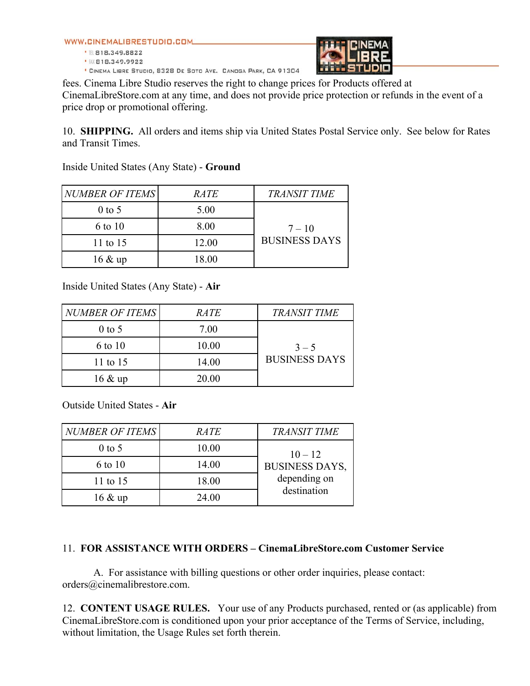WWW.CINEMALIBRESTUDIO.COM

● 图 818.349.8822 • 服818.349.9922

\* CINEMA LIBRE STUDIO, 8328 DE SOTO AVE. CANOGA PARK, CA 91304



fees. Cinema Libre Studio reserves the right to change prices for Products offered at CinemaLibreStore.com at any time, and does not provide price protection or refunds in the event of a price drop or promotional offering.

10. **SHIPPING.** All orders and items ship via United States Postal Service only. See below for Rates and Transit Times.

Inside United States (Any State) - **Ground**

| NUMBER OF ITEMS   | <i>RATE</i> | <b>TRANSIT TIME</b>  |
|-------------------|-------------|----------------------|
| $0$ to 5          | 5.00        |                      |
| 6 to 10           | 8.00        | $7 - 10$             |
| 11 to 15          | 12.00       | <b>BUSINESS DAYS</b> |
| $16 \& \text{up}$ | 18.00       |                      |

Inside United States (Any State) - **Air**

| <b>NUMBER OF ITEMS</b> | <i>RATE</i> | <b>TRANSIT TIME</b>  |
|------------------------|-------------|----------------------|
| $0$ to 5               | 7.00        |                      |
| 6 to 10                | 10.00       | $3 - 5$              |
| 11 to 15               | 14.00       | <b>BUSINESS DAYS</b> |
| $16 \& \text{up}$      | 20.00       |                      |

Outside United States - **Air**

| <b>NUMBER OF ITEMS</b> | <i>RATE</i> | <b>TRANSIT TIME</b>         |
|------------------------|-------------|-----------------------------|
| $0$ to 5               | 10.00       | $10 - 12$                   |
| 6 to 10                | 14.00       | <b>BUSINESS DAYS,</b>       |
| 11 to 15               | 18.00       | depending on<br>destination |
| $16 \& \text{up}$      | 24.00       |                             |

### 11. **FOR ASSISTANCE WITH ORDERS – CinemaLibreStore.com Customer Service**

A. For assistance with billing questions or other order inquiries, please contact: orders@cinemalibrestore.com.

12. **CONTENT USAGE RULES.** Your use of any Products purchased, rented or (as applicable) from CinemaLibreStore.com is conditioned upon your prior acceptance of the Terms of Service, including, without limitation, the Usage Rules set forth therein.